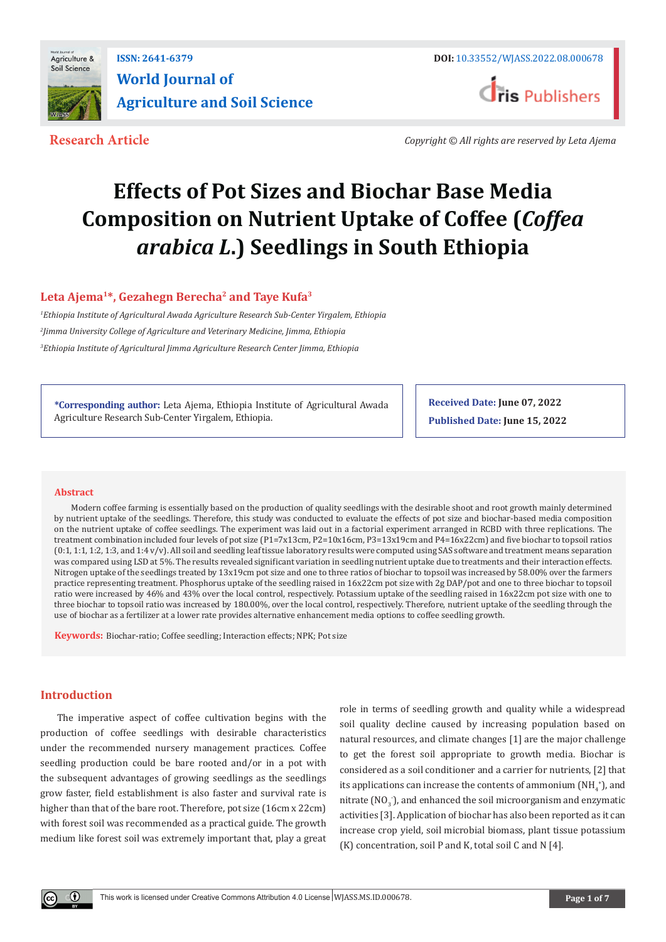

**Research Article** *Copyright © All rights are reserved by Leta Ajema*

# **Effects of Pot Sizes and Biochar Base Media Composition on Nutrient Uptake of Coffee (***Coffea arabica L***.) Seedlings in South Ethiopia**

Leta Ajema<sup>1\*</sup>, Gezahegn Berecha<sup>2</sup> and Taye Kufa<sup>3</sup>

*1 Ethiopia Institute of Agricultural Awada Agriculture Research Sub-Center Yirgalem, Ethiopia 2 Jimma University College of Agriculture and Veterinary Medicine, Jimma, Ethiopia 3 Ethiopia Institute of Agricultural Jimma Agriculture Research Center Jimma, Ethiopia*

**\*Corresponding author:** Leta Ajema, Ethiopia Institute of Agricultural Awada Agriculture Research Sub-Center Yirgalem, Ethiopia.

**Received Date: June 07, 2022 Published Date: June 15, 2022**

## **Abstract**

Modern coffee farming is essentially based on the production of quality seedlings with the desirable shoot and root growth mainly determined by nutrient uptake of the seedlings. Therefore, this study was conducted to evaluate the effects of pot size and biochar-based media composition on the nutrient uptake of coffee seedlings. The experiment was laid out in a factorial experiment arranged in RCBD with three replications. The treatment combination included four levels of pot size (P1=7x13cm, P2=10x16cm, P3=13x19cm and P4=16x22cm) and five biochar to topsoil ratios (0:1, 1:1, 1:2, 1:3, and 1:4 v/v). All soil and seedling leaf tissue laboratory results were computed using SAS software and treatment means separation was compared using LSD at 5%. The results revealed significant variation in seedling nutrient uptake due to treatments and their interaction effects. Nitrogen uptake of the seedlings treated by 13x19cm pot size and one to three ratios of biochar to topsoil was increased by 58.00% over the farmers practice representing treatment. Phosphorus uptake of the seedling raised in 16x22cm pot size with 2g DAP/pot and one to three biochar to topsoil ratio were increased by 46% and 43% over the local control, respectively. Potassium uptake of the seedling raised in 16x22cm pot size with one to three biochar to topsoil ratio was increased by 180.00%, over the local control, respectively. Therefore, nutrient uptake of the seedling through the use of biochar as a fertilizer at a lower rate provides alternative enhancement media options to coffee seedling growth.

**Keywords:** Biochar-ratio; Coffee seedling; Interaction effects; NPK; Pot size

## **Introduction**

The imperative aspect of coffee cultivation begins with the production of coffee seedlings with desirable characteristics under the recommended nursery management practices. Coffee seedling production could be bare rooted and/or in a pot with the subsequent advantages of growing seedlings as the seedlings grow faster, field establishment is also faster and survival rate is higher than that of the bare root. Therefore, pot size (16cm x 22cm) with forest soil was recommended as a practical guide. The growth medium like forest soil was extremely important that, play a great role in terms of seedling growth and quality while a widespread soil quality decline caused by increasing population based on natural resources, and climate changes [1] are the major challenge to get the forest soil appropriate to growth media. Biochar is considered as a soil conditioner and a carrier for nutrients, [2] that its applications can increase the contents of ammonium ( $\mathrm{NH}_4^{\ast}$ ), and nitrate ( $\text{NO}_3$  ), and enhanced the soil microorganism and enzymatic activities [3]. Application of biochar has also been reported as it can increase crop yield, soil microbial biomass, plant tissue potassium (K) concentration, soil P and K, total soil C and N [4].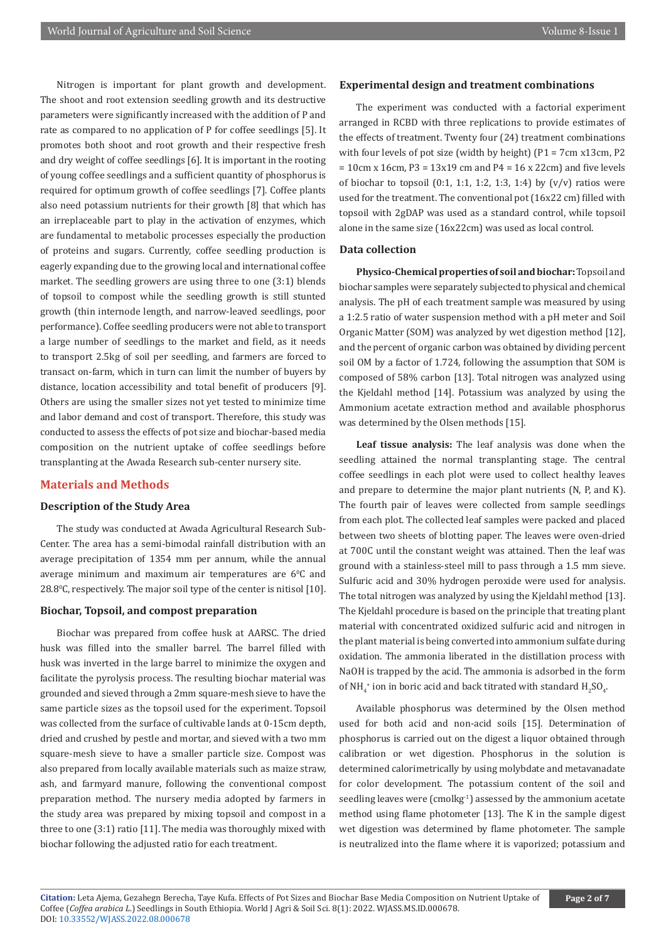Nitrogen is important for plant growth and development. The shoot and root extension seedling growth and its destructive parameters were significantly increased with the addition of P and rate as compared to no application of P for coffee seedlings [5]. It promotes both shoot and root growth and their respective fresh and dry weight of coffee seedlings [6]. It is important in the rooting of young coffee seedlings and a sufficient quantity of phosphorus is required for optimum growth of coffee seedlings [7]. Coffee plants also need potassium nutrients for their growth [8] that which has an irreplaceable part to play in the activation of enzymes, which are fundamental to metabolic processes especially the production of proteins and sugars. Currently, coffee seedling production is eagerly expanding due to the growing local and international coffee market. The seedling growers are using three to one (3:1) blends of topsoil to compost while the seedling growth is still stunted growth (thin internode length, and narrow-leaved seedlings, poor performance). Coffee seedling producers were not able to transport a large number of seedlings to the market and field, as it needs to transport 2.5kg of soil per seedling, and farmers are forced to transact on-farm, which in turn can limit the number of buyers by distance, location accessibility and total benefit of producers [9]. Others are using the smaller sizes not yet tested to minimize time and labor demand and cost of transport. Therefore, this study was conducted to assess the effects of pot size and biochar-based media composition on the nutrient uptake of coffee seedlings before transplanting at the Awada Research sub-center nursery site.

# **Materials and Methods**

#### **Description of the Study Area**

The study was conducted at Awada Agricultural Research Sub-Center. The area has a semi-bimodal rainfall distribution with an average precipitation of 1354 mm per annum, while the annual average minimum and maximum air temperatures are  $6^{\circ}$ C and 28.80 C, respectively. The major soil type of the center is nitisol [10].

#### **Biochar, Topsoil, and compost preparation**

Biochar was prepared from coffee husk at AARSC. The dried husk was filled into the smaller barrel. The barrel filled with husk was inverted in the large barrel to minimize the oxygen and facilitate the pyrolysis process. The resulting biochar material was grounded and sieved through a 2mm square-mesh sieve to have the same particle sizes as the topsoil used for the experiment. Topsoil was collected from the surface of cultivable lands at 0-15cm depth, dried and crushed by pestle and mortar, and sieved with a two mm square-mesh sieve to have a smaller particle size. Compost was also prepared from locally available materials such as maize straw, ash, and farmyard manure, following the conventional compost preparation method. The nursery media adopted by farmers in the study area was prepared by mixing topsoil and compost in a three to one (3:1) ratio [11]. The media was thoroughly mixed with biochar following the adjusted ratio for each treatment.

#### **Experimental design and treatment combinations**

The experiment was conducted with a factorial experiment arranged in RCBD with three replications to provide estimates of the effects of treatment. Twenty four (24) treatment combinations with four levels of pot size (width by height) (P1 = 7cm x13cm, P2  $= 10$ cm x 16cm, P3 = 13x19 cm and P4 = 16 x 22cm) and five levels of biochar to topsoil  $(0:1, 1:1, 1:2, 1:3, 1:4)$  by  $(v/v)$  ratios were used for the treatment. The conventional pot (16x22 cm) filled with topsoil with 2gDAP was used as a standard control, while topsoil alone in the same size (16x22cm) was used as local control.

## **Data collection**

**Physico-Chemical properties of soil and biochar:** Topsoil and biochar samples were separately subjected to physical and chemical analysis. The pH of each treatment sample was measured by using a 1:2.5 ratio of water suspension method with a pH meter and Soil Organic Matter (SOM) was analyzed by wet digestion method [12], and the percent of organic carbon was obtained by dividing percent soil OM by a factor of 1.724, following the assumption that SOM is composed of 58% carbon [13]. Total nitrogen was analyzed using the Kjeldahl method [14]. Potassium was analyzed by using the Ammonium acetate extraction method and available phosphorus was determined by the Olsen methods [15].

**Leaf tissue analysis:** The leaf analysis was done when the seedling attained the normal transplanting stage. The central coffee seedlings in each plot were used to collect healthy leaves and prepare to determine the major plant nutrients (N, P, and K). The fourth pair of leaves were collected from sample seedlings from each plot. The collected leaf samples were packed and placed between two sheets of blotting paper. The leaves were oven-dried at 700C until the constant weight was attained. Then the leaf was ground with a stainless-steel mill to pass through a 1.5 mm sieve. Sulfuric acid and 30% hydrogen peroxide were used for analysis. The total nitrogen was analyzed by using the Kjeldahl method [13]. The Kjeldahl procedure is based on the principle that treating plant material with concentrated oxidized sulfuric acid and nitrogen in the plant material is being converted into ammonium sulfate during oxidation. The ammonia liberated in the distillation process with NaOH is trapped by the acid. The ammonia is adsorbed in the form of NH $_4^*$  ion in boric acid and back titrated with standard  $\rm{H}_2SO_4$ .

Available phosphorus was determined by the Olsen method used for both acid and non-acid soils [15]. Determination of phosphorus is carried out on the digest a liquor obtained through calibration or wet digestion. Phosphorus in the solution is determined calorimetrically by using molybdate and metavanadate for color development. The potassium content of the soil and seedling leaves were (cmolkg<sup>-1</sup>) assessed by the ammonium acetate method using flame photometer [13]. The K in the sample digest wet digestion was determined by flame photometer. The sample is neutralized into the flame where it is vaporized; potassium and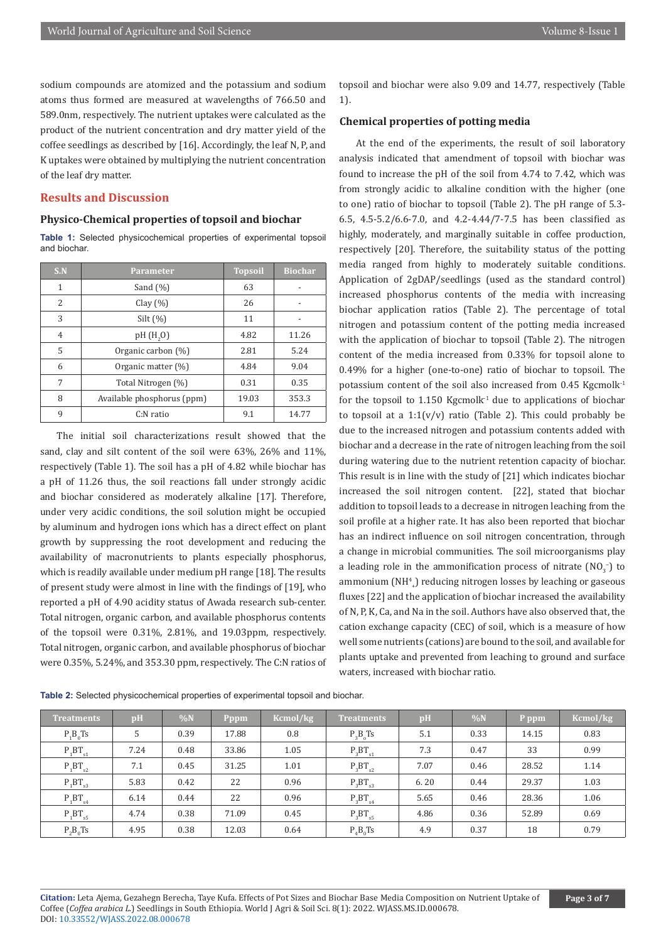sodium compounds are atomized and the potassium and sodium atoms thus formed are measured at wavelengths of 766.50 and 589.0nm, respectively. The nutrient uptakes were calculated as the product of the nutrient concentration and dry matter yield of the coffee seedlings as described by [16]. Accordingly, the leaf N, P, and K uptakes were obtained by multiplying the nutrient concentration of the leaf dry matter.

## **Results and Discussion**

### **Physico-Chemical properties of topsoil and biochar**

**Table 1:** Selected physicochemical properties of experimental topsoil and biochar.

| S.N | <b>Parameter</b>           | <b>Topsoil</b> | <b>Biochar</b> |
|-----|----------------------------|----------------|----------------|
| 1   | Sand $(\%)$                | 63             |                |
| 2   | Clay $(\% )$               | 26             |                |
| 3   | $Silt (\%)$                | 11             |                |
| 4   | pH(H,0)                    | 4.82           | 11.26          |
| 5   | Organic carbon (%)         | 2.81           | 5.24           |
| 6   | Organic matter (%)         | 4.84           | 9.04           |
| 7   | Total Nitrogen (%)         | 0.31           | 0.35           |
| 8   | Available phosphorus (ppm) | 19.03          | 353.3          |
| 9   | $C:$ N ratio               | 9.1            | 14.77          |

The initial soil characterizations result showed that the sand, clay and silt content of the soil were 63%, 26% and 11%, respectively (Table 1). The soil has a pH of 4.82 while biochar has a pH of 11.26 thus, the soil reactions fall under strongly acidic and biochar considered as moderately alkaline [17]. Therefore, under very acidic conditions, the soil solution might be occupied by aluminum and hydrogen ions which has a direct effect on plant growth by suppressing the root development and reducing the availability of macronutrients to plants especially phosphorus, which is readily available under medium pH range [18]. The results of present study were almost in line with the findings of [19], who reported a pH of 4.90 acidity status of Awada research sub-center. Total nitrogen, organic carbon, and available phosphorus contents of the topsoil were 0.31%, 2.81%, and 19.03ppm, respectively. Total nitrogen, organic carbon, and available phosphorus of biochar were 0.35%, 5.24%, and 353.30 ppm, respectively. The C:N ratios of topsoil and biochar were also 9.09 and 14.77, respectively (Table 1).

## **Chemical properties of potting media**

At the end of the experiments, the result of soil laboratory analysis indicated that amendment of topsoil with biochar was found to increase the pH of the soil from 4.74 to 7.42, which was from strongly acidic to alkaline condition with the higher (one to one) ratio of biochar to topsoil (Table 2). The pH range of 5.3- 6.5, 4.5-5.2/6.6-7.0, and 4.2-4.44/7-7.5 has been classified as highly, moderately, and marginally suitable in coffee production, respectively [20]. Therefore, the suitability status of the potting media ranged from highly to moderately suitable conditions. Application of 2gDAP/seedlings (used as the standard control) increased phosphorus contents of the media with increasing biochar application ratios (Table 2). The percentage of total nitrogen and potassium content of the potting media increased with the application of biochar to topsoil (Table 2). The nitrogen content of the media increased from 0.33% for topsoil alone to 0.49% for a higher (one-to-one) ratio of biochar to topsoil. The potassium content of the soil also increased from 0.45 Kgcmolk<sup>-1</sup> for the topsoil to 1.150 Kgcmolk<sup>-1</sup> due to applications of biochar to topsoil at a  $1:1(v/v)$  ratio (Table 2). This could probably be due to the increased nitrogen and potassium contents added with biochar and a decrease in the rate of nitrogen leaching from the soil during watering due to the nutrient retention capacity of biochar. This result is in line with the study of [21] which indicates biochar increased the soil nitrogen content. [22], stated that biochar addition to topsoil leads to a decrease in nitrogen leaching from the soil profile at a higher rate. It has also been reported that biochar has an indirect influence on soil nitrogen concentration, through a change in microbial communities. The soil microorganisms play a leading role in the ammonification process of nitrate  $(\text{NO}_3^-)$  to ammonium (NH4 + ) reducing nitrogen losses by leaching or gaseous fluxes [22] and the application of biochar increased the availability of N, P, K, Ca, and Na in the soil. Authors have also observed that, the cation exchange capacity (CEC) of soil, which is a measure of how well some nutrients (cations) are bound to the soil, and available for plants uptake and prevented from leaching to ground and surface waters, increased with biochar ratio.

| <b>Treatments</b> | pH   | $\%N$ | Pppm  | Kcmol/kg | <b>Treatments</b> | pH   | $\%N$ | P ppm | Kcmol/kg |
|-------------------|------|-------|-------|----------|-------------------|------|-------|-------|----------|
| $P_1B_0Ts$        | 5    | 0.39  | 17.88 | 0.8      | $P_3B_5Ts$        | 5.1  | 0.33  | 14.15 | 0.83     |
| $P_1BT_{s1}$      | 7.24 | 0.48  | 33.86 | 1.05     | $P_3BT_{s1}$      | 7.3  | 0.47  | 33    | 0.99     |
| $P_1BT_{s2}$      | 7.1  | 0.45  | 31.25 | 1.01     | $P_3BT_{s2}$      | 7.07 | 0.46  | 28.52 | 1.14     |
| $P_1BT_{s3}$      | 5.83 | 0.42  | 22    | 0.96     | $P_3BT_{s3}$      | 6.20 | 0.44  | 29.37 | 1.03     |
| $P_1BT_{s4}$      | 6.14 | 0.44  | 22    | 0.96     | $P_3BT_{s4}$      | 5.65 | 0.46  | 28.36 | 1.06     |
| $P_1BT_{s5}$      | 4.74 | 0.38  | 71.09 | 0.45     | $P_3BT_{s5}$      | 4.86 | 0.36  | 52.89 | 0.69     |
| $P_2B_0Ts$        | 4.95 | 0.38  | 12.03 | 0.64     | $P_4B_0Ts$        | 4.9  | 0.37  | 18    | 0.79     |

**Table 2:** Selected physicochemical properties of experimental topsoil and biochar.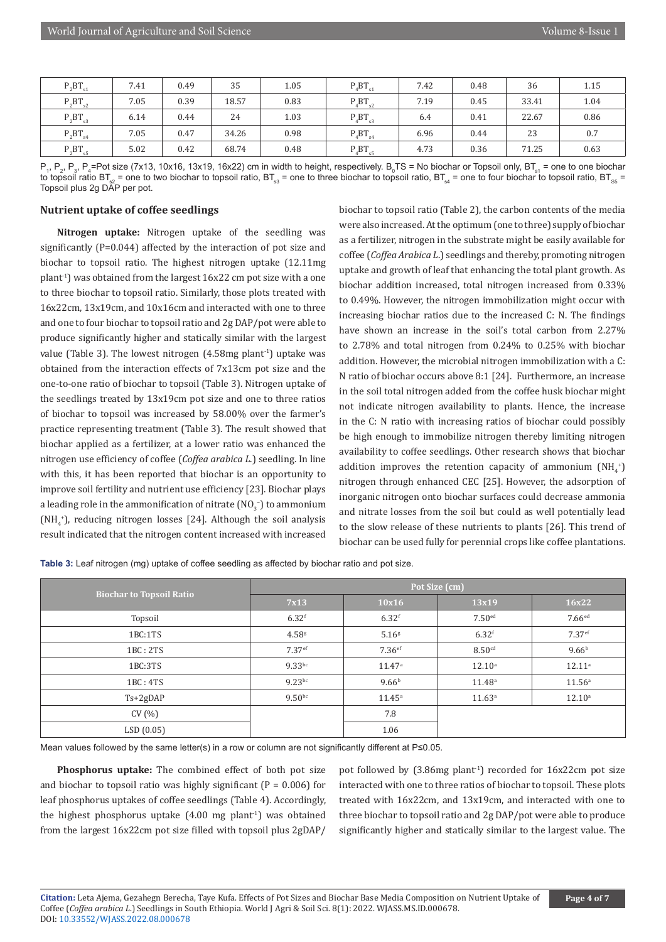| $P_2BT_{s1}$ | 7.41 | 0.49 | 35    | 1.05 | $P_4BT_{s1}$ | 7.42 | 0.48 | 36    | 1.15 |
|--------------|------|------|-------|------|--------------|------|------|-------|------|
| $P_2BT_{s2}$ | 7.05 | 0.39 | 18.57 | 0.83 | $P_4BT_{s2}$ | 7.19 | 0.45 | 33.41 | 1.04 |
| $P_2BT_{s3}$ | 6.14 | 0.44 | 24    | 1.03 | $P_4BT_{s3}$ | 6.4  | 0.41 | 22.67 | 0.86 |
| $P_2BT_{s4}$ | 7.05 | 0.47 | 34.26 | 0.98 | $P_4BT_{s4}$ | 6.96 | 0.44 | 23    | 0.7  |
| $P_2BT_{s5}$ | 5.02 | 0.42 | 68.74 | 0.48 | $P_4BT_{s5}$ | 4.73 | 0.36 | 71.25 | 0.63 |

 $\mathsf{P}_\mathsf{i},\mathsf{P}_\mathsf{2},\mathsf{P}_\mathsf{3},\mathsf{P}_\mathsf{4}$ =Pot size (7x13, 10x16, 13x19, 16x22) cm in width to height, respectively.  $\mathsf{B}_\mathsf{0}$ TS = No biochar or Topsoil only, BT $_\mathsf{s1}$  = one to one biochar to topsoil ratio BT<sub>s2</sub> = one to two biochar to topsoil ratio, BT<sub>s3</sub> = one to three biochar to topsoil ratio, BT<sub>s4</sub> = one to four biochar to topsoil ratio, BT<sub>s5</sub> = Topsoil plus 2g DAP per pot.

### **Nutrient uptake of coffee seedlings**

**Nitrogen uptake:** Nitrogen uptake of the seedling was significantly (P=0.044) affected by the interaction of pot size and biochar to topsoil ratio. The highest nitrogen uptake (12.11mg plant-1) was obtained from the largest 16x22 cm pot size with a one to three biochar to topsoil ratio. Similarly, those plots treated with 16x22cm, 13x19cm, and 10x16cm and interacted with one to three and one to four biochar to topsoil ratio and 2g DAP/pot were able to produce significantly higher and statically similar with the largest value (Table 3). The lowest nitrogen  $(4.58mg \text{ plant}^{-1})$  uptake was obtained from the interaction effects of 7x13cm pot size and the one-to-one ratio of biochar to topsoil (Table 3). Nitrogen uptake of the seedlings treated by 13x19cm pot size and one to three ratios of biochar to topsoil was increased by 58.00% over the farmer's practice representing treatment (Table 3). The result showed that biochar applied as a fertilizer, at a lower ratio was enhanced the nitrogen use efficiency of coffee (*Coffea arabica L*.) seedling. In line with this, it has been reported that biochar is an opportunity to improve soil fertility and nutrient use efficiency [23]. Biochar plays a leading role in the ammonification of nitrate  $\text{(NO}_{3}^{-}\text{)}$  to ammonium  $(NH<sub>4</sub><sup>+</sup>)$ , reducing nitrogen losses [24]. Although the soil analysis result indicated that the nitrogen content increased with increased

biochar to topsoil ratio (Table 2), the carbon contents of the media were also increased. At the optimum (one to three) supply of biochar as a fertilizer, nitrogen in the substrate might be easily available for coffee (*Coffea Arabica L*.) seedlings and thereby, promoting nitrogen uptake and growth of leaf that enhancing the total plant growth. As biochar addition increased, total nitrogen increased from 0.33% to 0.49%. However, the nitrogen immobilization might occur with increasing biochar ratios due to the increased C: N. The findings have shown an increase in the soil's total carbon from 2.27% to 2.78% and total nitrogen from 0.24% to 0.25% with biochar addition. However, the microbial nitrogen immobilization with a C: N ratio of biochar occurs above 8:1 [24]. Furthermore, an increase in the soil total nitrogen added from the coffee husk biochar might not indicate nitrogen availability to plants. Hence, the increase in the C: N ratio with increasing ratios of biochar could possibly be high enough to immobilize nitrogen thereby limiting nitrogen availability to coffee seedlings. Other research shows that biochar addition improves the retention capacity of ammonium  $(NH_4^*)$ nitrogen through enhanced CEC [25]. However, the adsorption of inorganic nitrogen onto biochar surfaces could decrease ammonia and nitrate losses from the soil but could as well potentially lead to the slow release of these nutrients to plants [26]. This trend of biochar can be used fully for perennial crops like coffee plantations.

**Table 3:** Leaf nitrogen (mg) uptake of coffee seedling as affected by biochar ratio and pot size.

|                                 | Pot Size (cm)       |                      |                      |                      |  |  |
|---------------------------------|---------------------|----------------------|----------------------|----------------------|--|--|
| <b>Biochar to Topsoil Ratio</b> | 7x13                | 10x16                | 13x19                | 16x22                |  |  |
| Topsoil                         | $6.32$ <sup>f</sup> | $6.32$ <sup>f</sup>  | $7.50$ <sup>ed</sup> | $7.66$ <sup>ed</sup> |  |  |
| 1BC:1TS                         | 4.58 <sup>g</sup>   | 5.16 <sup>g</sup>    | $6.32$ <sup>f</sup>  | 7.37 <sup>ef</sup>   |  |  |
| 1BC: 2TS                        | 7.37 <sup>ef</sup>  | $7.36$ <sup>ef</sup> | 8.50 <sup>cd</sup>   | 9.66 <sup>b</sup>    |  |  |
| 1BC:3TS                         | $9.33$ bc           | $11.47^{\circ}$      | $12.10^a$            | $12.11^a$            |  |  |
| 1BC: 4TS                        | 9.23 <sup>bc</sup>  | 9.66 <sup>b</sup>    | 11.48 <sup>a</sup>   | 11.56 <sup>a</sup>   |  |  |
| $Ts+2gDAP$                      | 9.50 <sup>bc</sup>  | $11.45^{\circ}$      | $11.63^{\circ}$      | $12.10^{\circ}$      |  |  |
| CV(%)                           |                     | 7.8                  |                      |                      |  |  |
| LSD(0.05)                       |                     | 1.06                 |                      |                      |  |  |

Mean values followed by the same letter(s) in a row or column are not significantly different at P≤0.05.

**Phosphorus uptake:** The combined effect of both pot size and biochar to topsoil ratio was highly significant  $(P = 0.006)$  for leaf phosphorus uptakes of coffee seedlings (Table 4). Accordingly, the highest phosphorus uptake  $(4.00 \text{ mg plant}^1)$  was obtained from the largest 16x22cm pot size filled with topsoil plus 2gDAP/ pot followed by  $(3.86mg \text{ plant}^1)$  recorded for  $16x22cm$  pot size interacted with one to three ratios of biochar to topsoil. These plots treated with 16x22cm, and 13x19cm, and interacted with one to three biochar to topsoil ratio and 2g DAP/pot were able to produce significantly higher and statically similar to the largest value. The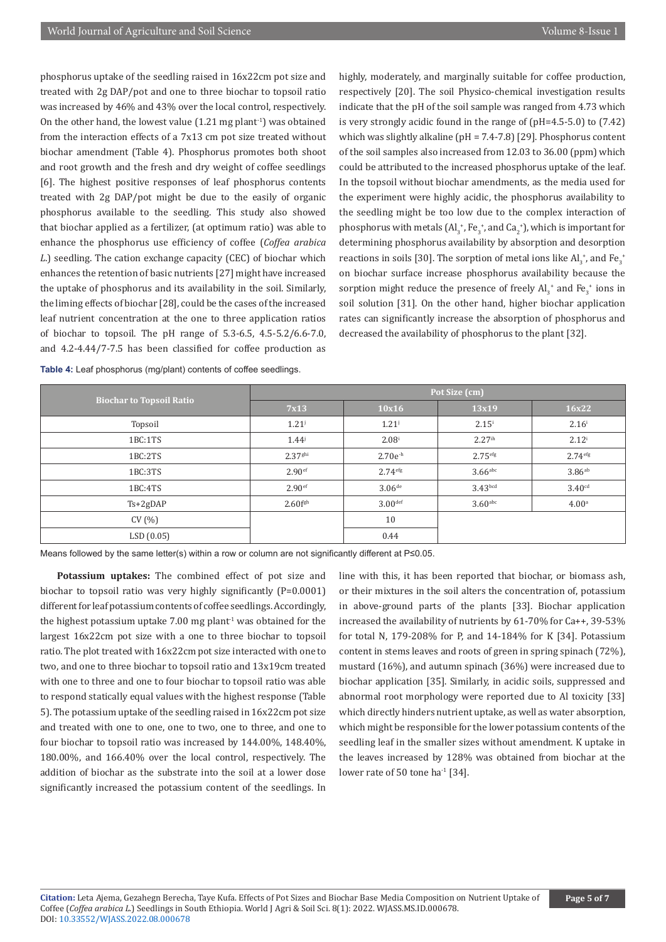phosphorus uptake of the seedling raised in 16x22cm pot size and treated with 2g DAP/pot and one to three biochar to topsoil ratio was increased by 46% and 43% over the local control, respectively. On the other hand, the lowest value  $(1.21 \text{ mg plant}^{-1})$  was obtained from the interaction effects of a 7x13 cm pot size treated without biochar amendment (Table 4). Phosphorus promotes both shoot and root growth and the fresh and dry weight of coffee seedlings [6]. The highest positive responses of leaf phosphorus contents treated with 2g DAP/pot might be due to the easily of organic phosphorus available to the seedling. This study also showed that biochar applied as a fertilizer, (at optimum ratio) was able to enhance the phosphorus use efficiency of coffee (*Coffea arabica L*.) seedling. The cation exchange capacity (CEC) of biochar which enhances the retention of basic nutrients [27] might have increased the uptake of phosphorus and its availability in the soil. Similarly, the liming effects of biochar [28], could be the cases of the increased leaf nutrient concentration at the one to three application ratios of biochar to topsoil. The pH range of 5.3-6.5, 4.5-5.2/6.6-7.0, and 4.2-4.44/7-7.5 has been classified for coffee production as

**Table 4:** Leaf phosphorus (mg/plant) contents of coffee seedlings.

highly, moderately, and marginally suitable for coffee production, respectively [20]. The soil Physico-chemical investigation results indicate that the pH of the soil sample was ranged from 4.73 which is very strongly acidic found in the range of (pH=4.5-5.0) to (7.42) which was slightly alkaline (pH = 7.4-7.8) [29]. Phosphorus content of the soil samples also increased from 12.03 to 36.00 (ppm) which could be attributed to the increased phosphorus uptake of the leaf. In the topsoil without biochar amendments, as the media used for the experiment were highly acidic, the phosphorus availability to the seedling might be too low due to the complex interaction of phosphorus with metals (Al<sub>3</sub><sup>+</sup>, Fe<sub>3</sub><sup>+</sup>, and Ca<sub>2</sub><sup>+</sup>), which is important for determining phosphorus availability by absorption and desorption reactions in soils [30]. The sorption of metal ions like  $\mathbf{Al}_3^{\vphantom{\dagger}}$  , and  $\mathbf{Fe}_3^{\vphantom{\dagger}}$ on biochar surface increase phosphorus availability because the sorption might reduce the presence of freely  $\text{Al}_3^+$  and  $\text{Fe}_3^+$  ions in soil solution [31]. On the other hand, higher biochar application rates can significantly increase the absorption of phosphorus and decreased the availability of phosphorus to the plant [32].

|                                 | Pot Size (cm)          |                      |                     |                      |  |  |
|---------------------------------|------------------------|----------------------|---------------------|----------------------|--|--|
| <b>Biochar to Topsoil Ratio</b> | 7x13                   | 10x16                | 13x19               | 16x22                |  |  |
| Topsoil                         | $1.21^{j}$             | $1.21^{j}$           | $2.15^{i}$          | $2.16^{i}$           |  |  |
| 1BC:1TS                         | $1.44^{j}$             | $2.08^{i}$           | 2.27 <sup>ih</sup>  | $2.12^{i}$           |  |  |
| 1BC:2TS                         | $2.37$ <sup>ghi</sup>  | $2.70e^{-h}$         | 2.75 <sup>eff</sup> | 2.74 <sup>efg</sup>  |  |  |
| 1BC:3TS                         | 2.90 <sup>ef</sup>     | 2.74 <sup>efg</sup>  | $3.66$ abc          | $3.86$ <sup>ab</sup> |  |  |
| 1BC:4TS                         | 2.90 <sup>ef</sup>     | $3.06$ <sup>de</sup> | 3.43 <sub>bcd</sub> | 3.40 <sup>cd</sup>   |  |  |
| $Ts+2gDAP$                      | $2.60$ f <sup>gh</sup> | 3.00 <sup>def</sup>  | $3.60$ abc          | 4.00 <sup>a</sup>    |  |  |
| CV(%)                           |                        | 10                   |                     |                      |  |  |
| LSD(0.05)                       |                        | 0.44                 |                     |                      |  |  |

Means followed by the same letter(s) within a row or column are not significantly different at P≤0.05.

**Potassium uptakes:** The combined effect of pot size and biochar to topsoil ratio was very highly significantly (P=0.0001) different for leaf potassium contents of coffee seedlings. Accordingly, the highest potassium uptake  $7.00$  mg plant<sup>1</sup> was obtained for the largest 16x22cm pot size with a one to three biochar to topsoil ratio. The plot treated with 16x22cm pot size interacted with one to two, and one to three biochar to topsoil ratio and 13x19cm treated with one to three and one to four biochar to topsoil ratio was able to respond statically equal values with the highest response (Table 5). The potassium uptake of the seedling raised in 16x22cm pot size and treated with one to one, one to two, one to three, and one to four biochar to topsoil ratio was increased by 144.00%, 148.40%, 180.00%, and 166.40% over the local control, respectively. The addition of biochar as the substrate into the soil at a lower dose significantly increased the potassium content of the seedlings. In

line with this, it has been reported that biochar, or biomass ash, or their mixtures in the soil alters the concentration of, potassium in above-ground parts of the plants [33]. Biochar application increased the availability of nutrients by 61-70% for Ca++, 39-53% for total N, 179-208% for P, and 14-184% for K [34]. Potassium content in stems leaves and roots of green in spring spinach (72%), mustard (16%), and autumn spinach (36%) were increased due to biochar application [35]. Similarly, in acidic soils, suppressed and abnormal root morphology were reported due to Al toxicity [33] which directly hinders nutrient uptake, as well as water absorption, which might be responsible for the lower potassium contents of the seedling leaf in the smaller sizes without amendment. K uptake in the leaves increased by 128% was obtained from biochar at the lower rate of 50 tone ha<sup>-1</sup> [34].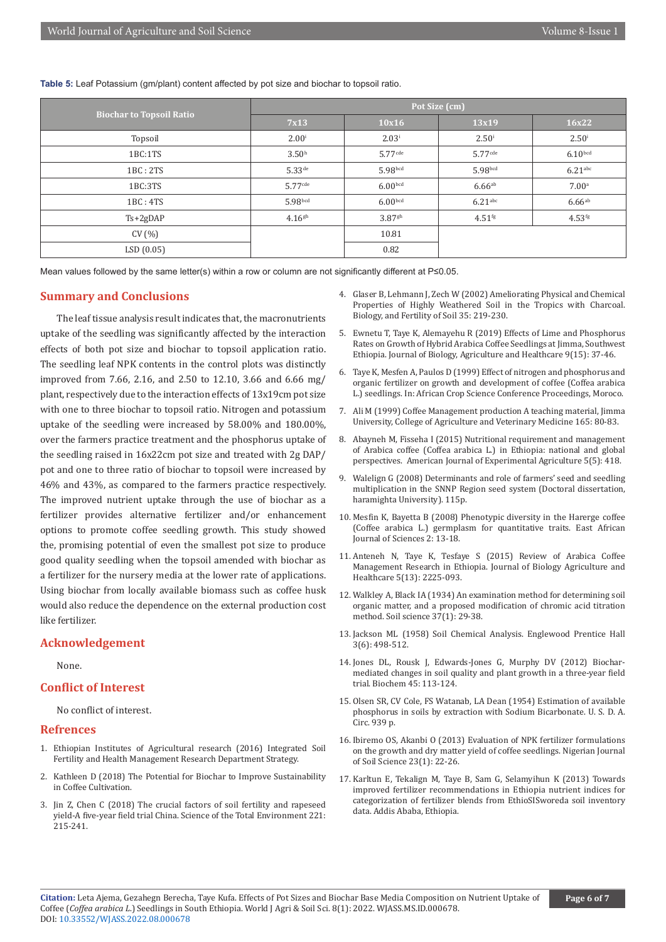**Table 5:** Leaf Potassium (gm/plant) content affected by pot size and biochar to topsoil ratio.

|                                 | Pot Size (cm)         |                       |                       |                      |  |  |
|---------------------------------|-----------------------|-----------------------|-----------------------|----------------------|--|--|
| <b>Biochar to Topsoil Ratio</b> | 7x13                  | 10x16                 | 13x19                 | 16x22                |  |  |
| Topsoil                         | $2.00^{i}$            | $2.03^{i}$            | $2.50^{\rm i}$        | $2.50^{\rm i}$       |  |  |
| 1BC:1TS                         | 3.50 <sup>h</sup>     | $5.77$ <sup>cde</sup> | $5.77$ <sup>cde</sup> | 6.10 <sub>bcd</sub>  |  |  |
| 1BC: 2TS                        | $5.33$ <sup>de</sup>  | 5.98 <sub>bcd</sub>   | 5.98bcd               | $6.21$ abc           |  |  |
| 1BC:3TS                         | $5.77$ <sup>cde</sup> | 6.00 <sub>bcd</sub>   | $6.66$ <sup>ab</sup>  | 7.00 <sup>a</sup>    |  |  |
| 1BC: 4TS                        | 5.98 <sub>bcd</sub>   | 6.00 <sub>bcd</sub>   | 6.21 <sup>abc</sup>   | $6.66$ <sup>ab</sup> |  |  |
| $Ts+2gDAP$                      | $4.16$ <sup>gh</sup>  | $3.87$ gh             | 4.51 <sup>fg</sup>    | $4.53^{fg}$          |  |  |
| CV(%)                           |                       | 10.81                 |                       |                      |  |  |
| LSD(0.05)                       |                       | 0.82                  |                       |                      |  |  |

Mean values followed by the same letter(s) within a row or column are not significantly different at P≤0.05.

#### **Summary and Conclusions**

The leaf tissue analysis result indicates that, the macronutrients uptake of the seedling was significantly affected by the interaction effects of both pot size and biochar to topsoil application ratio. The seedling leaf NPK contents in the control plots was distinctly improved from 7.66, 2.16, and 2.50 to 12.10, 3.66 and 6.66 mg/ plant, respectively due to the interaction effects of 13x19cm pot size with one to three biochar to topsoil ratio. Nitrogen and potassium uptake of the seedling were increased by 58.00% and 180.00%, over the farmers practice treatment and the phosphorus uptake of the seedling raised in 16x22cm pot size and treated with 2g DAP/ pot and one to three ratio of biochar to topsoil were increased by 46% and 43%, as compared to the farmers practice respectively. The improved nutrient uptake through the use of biochar as a fertilizer provides alternative fertilizer and/or enhancement options to promote coffee seedling growth. This study showed the, promising potential of even the smallest pot size to produce good quality seedling when the topsoil amended with biochar as a fertilizer for the nursery media at the lower rate of applications. Using biochar from locally available biomass such as coffee husk would also reduce the dependence on the external production cost like fertilizer.

#### **Acknowledgement**

None.

## **Conflict of Interest**

No conflict of interest.

#### **Refrences**

- 1. Ethiopian Institutes of Agricultural research (2016) Integrated Soil Fertility and Health Management Research Department Strategy.
- 2. [Kathleen D \(2018\) The Potential for Biochar to Improve Sustainability](https://www.biochar-journal.org/en/ct/95)  [in Coffee Cultivation.](https://www.biochar-journal.org/en/ct/95)
- 3. Jin Z, Chen C (2018) The crucial factors of soil fertility and rapeseed yield-A five-year field trial China. Science of the Total Environment 221: 215-241.
- 4. [Glaser B, Lehmann J, Zech W \(2002\) Ameliorating Physical and Chemical](https://link.springer.com/article/10.1007/s00374-002-0466-4) [Properties of Highly Weathered Soil in the Tropics with Charcoal.](https://link.springer.com/article/10.1007/s00374-002-0466-4) [Biology, and Fertility of Soil 35: 219-230.](https://link.springer.com/article/10.1007/s00374-002-0466-4)
- 5. [Ewnetu T, Taye K, Alemayehu R \(2019\) Effects of Lime and Phosphorus](https://cgspace.cgiar.org/handle/10568/103646) [Rates on Growth of Hybrid Arabica Coffee Seedlings at Jimma, Southwest](https://cgspace.cgiar.org/handle/10568/103646) [Ethiopia. Journal of Biology, Agriculture and Healthcare 9\(15\): 37-46.](https://cgspace.cgiar.org/handle/10568/103646)
- 6. Taye K, Mesfen A, Paulos D (1999) Effect of nitrogen and phosphorus and organic fertilizer on growth and development of coffee (Coffea arabica L.) seedlings. In: African Crop Science Conference Proceedings, Moroco.
- 7. Ali M (1999) Coffee Management production A teaching material, Jimma University, College of Agriculture and Veterinary Medicine 165: 80-83.
- 8. [Abayneh M, Fisseha I \(2015\) Nutritional requirement and management](https://journaljeai.com/index.php/JEAI/article/view/365) [of Arabica coffee \(Coffea arabica L.\) in Ethiopia: national and global](https://journaljeai.com/index.php/JEAI/article/view/365) [perspectives. American Journal of Experimental Agriculture 5\(5\): 418.](https://journaljeai.com/index.php/JEAI/article/view/365)
- 9. Walelign G (2008) Determinants and role of farmers' seed and seedling multiplication in the SNNP Region seed system (Doctoral dissertation, haramighta University). 115p.
- 10. [Mesfin K, Bayetta B \(2008\) Phenotypic diversity in the Harerge coffee](https://www.ajol.info/index.php/eajsci/article/view/40358) [\(Coffee arabica L.\) germplasm for quantitative traits. East African](https://www.ajol.info/index.php/eajsci/article/view/40358) [Journal of Sciences 2: 13-18.](https://www.ajol.info/index.php/eajsci/article/view/40358)
- 11. [Anteneh N, Taye K, Tesfaye S \(2015\) Review of Arabica Coffee](https://www.iiste.org/Journals/index.php/JBAH/article/view/23976) [Management Research in Ethiopia. Journal of Biology Agriculture and](https://www.iiste.org/Journals/index.php/JBAH/article/view/23976) [Healthcare 5\(13\): 2225-093.](https://www.iiste.org/Journals/index.php/JBAH/article/view/23976)
- 12. [Walkley A, Black IA \(1934\) An examination method for determining soil](https://journals.lww.com/soilsci/citation/1934/01000/an_examination_of_the_degtjareff_method_for.3.aspx) [organic matter, and a proposed modification of chromic acid titration](https://journals.lww.com/soilsci/citation/1934/01000/an_examination_of_the_degtjareff_method_for.3.aspx) [method. Soil science 37\(1\): 29-38.](https://journals.lww.com/soilsci/citation/1934/01000/an_examination_of_the_degtjareff_method_for.3.aspx)
- 13. Jackson ML (1958) Soil Chemical Analysis. Englewood Prentice Hall 3(6): 498-512.
- 14. [Jones DL, Rousk J, Edwards-Jones G, Murphy DV \(2012\) Biochar](https://www.sciencedirect.com/science/article/abs/pii/S0038071711003865)[mediated changes in soil quality and plant growth in a three-year field](https://www.sciencedirect.com/science/article/abs/pii/S0038071711003865) [trial. Biochem 45: 113-124.](https://www.sciencedirect.com/science/article/abs/pii/S0038071711003865)
- 15. [Olsen SR, CV Cole, FS Watanab, LA Dean \(1954\) Estimation of available](https://agris.fao.org/agris-search/search.do?recordID=US201300436954) [phosphorus in soils by extraction with Sodium Bicarbonate. U. S. D. A.](https://agris.fao.org/agris-search/search.do?recordID=US201300436954) [Circ. 939 p.](https://agris.fao.org/agris-search/search.do?recordID=US201300436954)
- 16. Ibiremo OS, Akanbi O (2013) Evaluation of NPK fertilizer formulations on the growth and dry matter yield of coffee seedlings. Nigerian Journal of Soil Science 23(1): 22-26.
- 17. Karltun E, Tekalign M, Taye B, Sam G, Selamyihun K (2013) Towards improved fertilizer recommendations in Ethiopia nutrient indices for categorization of fertilizer blends from EthioSISworeda soil inventory data. Addis Ababa, Ethiopia.